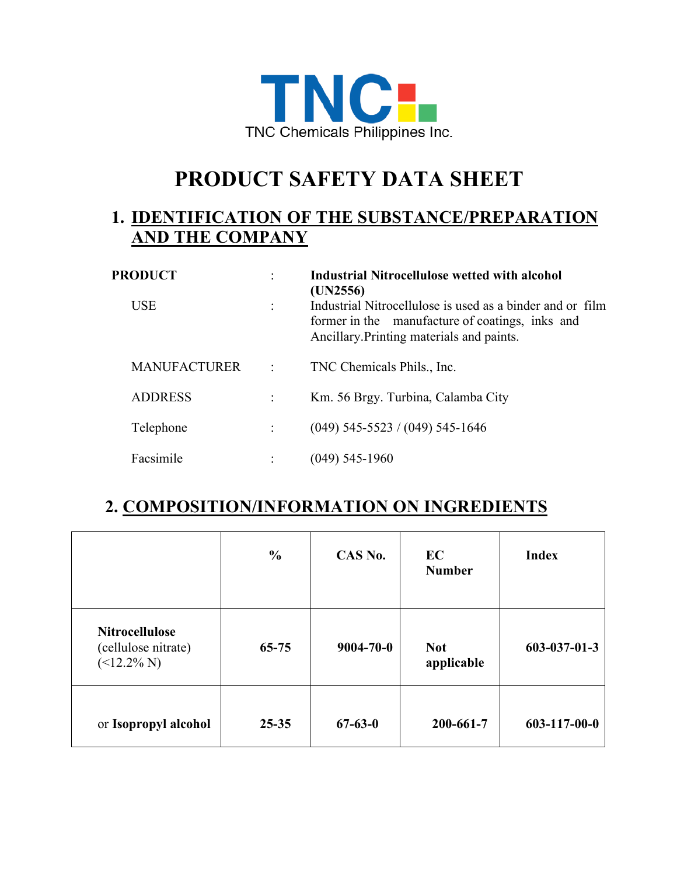

# **PRODUCT SAFETY DATA SHEET**

#### **1. IDENTIFICATION OF THE SUBSTANCE/PREPARATION AND THE COMPANY**

| <b>PRODUCT</b>      |   | <b>Industrial Nitrocellulose wetted with alcohol</b><br>(UN2556)                                                                                          |
|---------------------|---|-----------------------------------------------------------------------------------------------------------------------------------------------------------|
| <b>USE</b>          |   | Industrial Nitrocellulose is used as a binder and or film<br>former in the manufacture of coatings, inks and<br>Ancillary. Printing materials and paints. |
| <b>MANUFACTURER</b> | ÷ | TNC Chemicals Phils., Inc.                                                                                                                                |
| <b>ADDRESS</b>      |   | Km. 56 Brgy. Turbina, Calamba City                                                                                                                        |
| Telephone           |   | $(049)$ 545-5523 / $(049)$ 545-1646                                                                                                                       |
| Facsimile           |   | $(049)$ 545-1960                                                                                                                                          |

## **2. COMPOSITION/INFORMATION ON INGREDIENTS**

|                                                                | $\frac{0}{0}$ | CAS No.         | EC<br><b>Number</b>      | <b>Index</b>         |
|----------------------------------------------------------------|---------------|-----------------|--------------------------|----------------------|
| <b>Nitrocellulose</b><br>(cellulose nitrate)<br>$($ < 12.2% N) | $65 - 75$     | $9004 - 70 - 0$ | <b>Not</b><br>applicable | $603 - 037 - 01 - 3$ |
| or Isopropyl alcohol                                           | $25 - 35$     | $67 - 63 - 0$   | 200-661-7                | $603 - 117 - 00 - 0$ |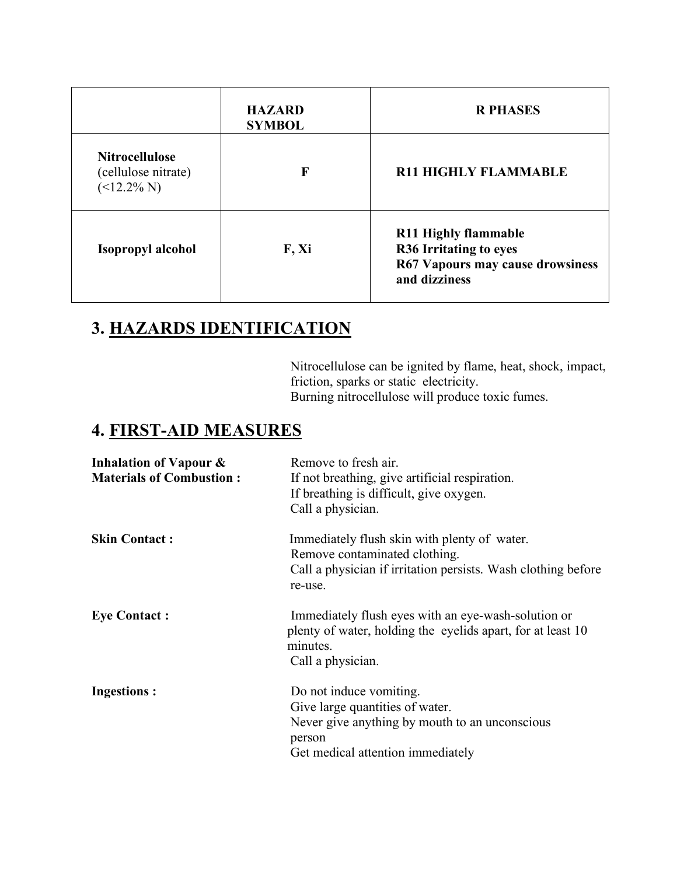|                                                                | <b>HAZARD</b><br><b>SYMBOL</b> | <b>R PHASES</b>                                                                                                   |
|----------------------------------------------------------------|--------------------------------|-------------------------------------------------------------------------------------------------------------------|
| <b>Nitrocellulose</b><br>(cellulose nitrate)<br>$($ < 12.2% N) | F                              | <b>R11 HIGHLY FLAMMABLE</b>                                                                                       |
| Isopropyl alcohol                                              | F, Xi                          | <b>R11 Highly flammable</b><br><b>R36 Irritating to eyes</b><br>R67 Vapours may cause drowsiness<br>and dizziness |

# **3. HAZARDS IDENTIFICATION**

Nitrocellulose can be ignited by flame, heat, shock, impact, friction, sparks or static electricity. Burning nitrocellulose will produce toxic fumes.

## **4. FIRST-AID MEASURES**

| Inhalation of Vapour &<br><b>Materials of Combustion:</b> | Remove to fresh air.<br>If not breathing, give artificial respiration.<br>If breathing is difficult, give oxygen.<br>Call a physician.                      |
|-----------------------------------------------------------|-------------------------------------------------------------------------------------------------------------------------------------------------------------|
| <b>Skin Contact:</b>                                      | Immediately flush skin with plenty of water.<br>Remove contaminated clothing.<br>Call a physician if irritation persists. Wash clothing before<br>re-use.   |
| <b>Eye Contact:</b>                                       | Immediately flush eyes with an eye-wash-solution or<br>plenty of water, holding the eyelids apart, for at least 10<br>minutes.<br>Call a physician.         |
| <b>Ingestions:</b>                                        | Do not induce vomiting.<br>Give large quantities of water.<br>Never give anything by mouth to an unconscious<br>person<br>Get medical attention immediately |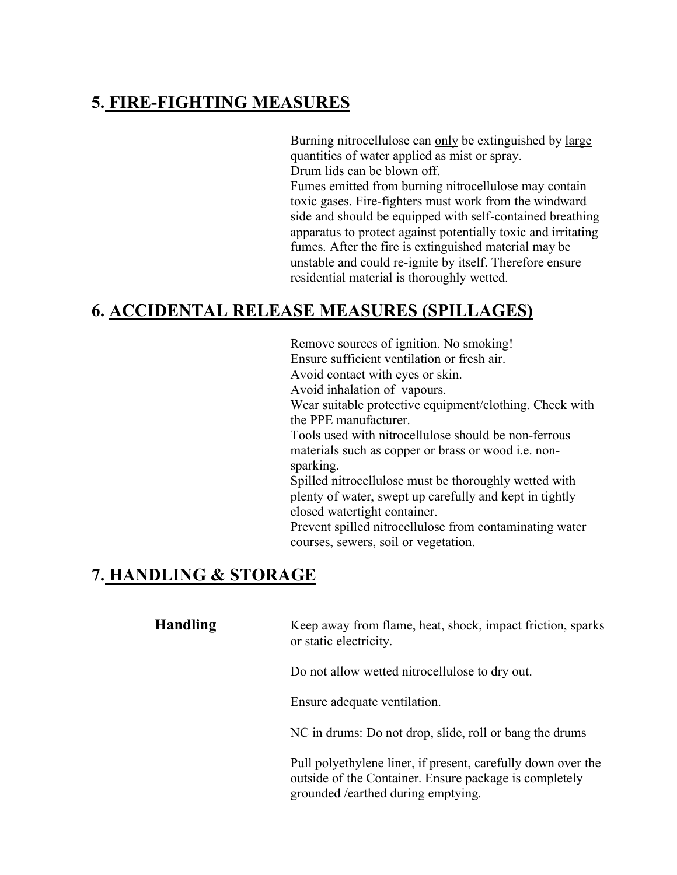## **5. FIRE-FIGHTING MEASURES**

Burning nitrocellulose can only be extinguished by large quantities of water applied as mist or spray. Drum lids can be blown off. Fumes emitted from burning nitrocellulose may contain toxic gases. Fire-fighters must work from the windward side and should be equipped with self-contained breathing apparatus to protect against potentially toxic and irritating fumes. After the fire is extinguished material may be unstable and could re-ignite by itself. Therefore ensure residential material is thoroughly wetted.

#### **6. ACCIDENTAL RELEASE MEASURES (SPILLAGES)**

Remove sources of ignition. No smoking! Ensure sufficient ventilation or fresh air. Avoid contact with eyes or skin. Avoid inhalation of vapours. Wear suitable protective equipment/clothing. Check with the PPE manufacturer. Tools used with nitrocellulose should be non-ferrous materials such as copper or brass or wood i.e. nonsparking. Spilled nitrocellulose must be thoroughly wetted with plenty of water, swept up carefully and kept in tightly closed watertight container. Prevent spilled nitrocellulose from contaminating water courses, sewers, soil or vegetation.

## **7. HANDLING & STORAGE**

**Handling** Keep away from flame, heat, shock, impact friction, sparks or static electricity.

Do not allow wetted nitrocellulose to dry out.

Ensure adequate ventilation.

NC in drums: Do not drop, slide, roll or bang the drums

Pull polyethylene liner, if present, carefully down over the outside of the Container. Ensure package is completely grounded /earthed during emptying.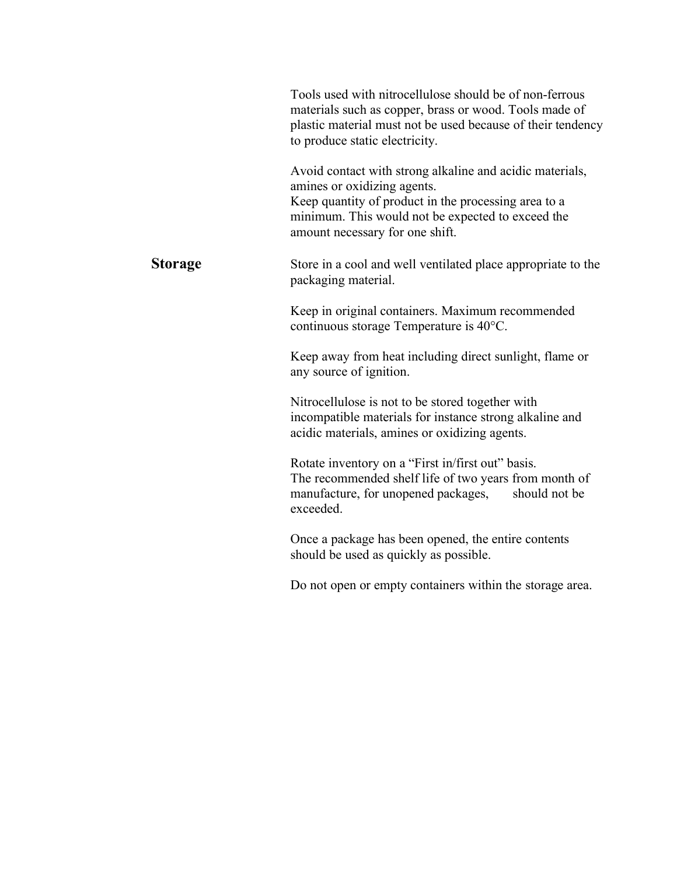|                | Tools used with nitrocellulose should be of non-ferrous<br>materials such as copper, brass or wood. Tools made of<br>plastic material must not be used because of their tendency<br>to produce static electricity.<br>Avoid contact with strong alkaline and acidic materials,<br>amines or oxidizing agents.<br>Keep quantity of product in the processing area to a<br>minimum. This would not be expected to exceed the<br>amount necessary for one shift. |
|----------------|---------------------------------------------------------------------------------------------------------------------------------------------------------------------------------------------------------------------------------------------------------------------------------------------------------------------------------------------------------------------------------------------------------------------------------------------------------------|
| <b>Storage</b> | Store in a cool and well ventilated place appropriate to the<br>packaging material.                                                                                                                                                                                                                                                                                                                                                                           |
|                | Keep in original containers. Maximum recommended<br>continuous storage Temperature is 40°C.                                                                                                                                                                                                                                                                                                                                                                   |
|                | Keep away from heat including direct sunlight, flame or<br>any source of ignition.                                                                                                                                                                                                                                                                                                                                                                            |
|                | Nitrocellulose is not to be stored together with<br>incompatible materials for instance strong alkaline and<br>acidic materials, amines or oxidizing agents.                                                                                                                                                                                                                                                                                                  |
|                | Rotate inventory on a "First in/first out" basis.<br>The recommended shelf life of two years from month of<br>manufacture, for unopened packages,<br>should not be<br>exceeded.                                                                                                                                                                                                                                                                               |
|                | Once a package has been opened, the entire contents<br>should be used as quickly as possible.                                                                                                                                                                                                                                                                                                                                                                 |

Do not open or empty containers within the storage area.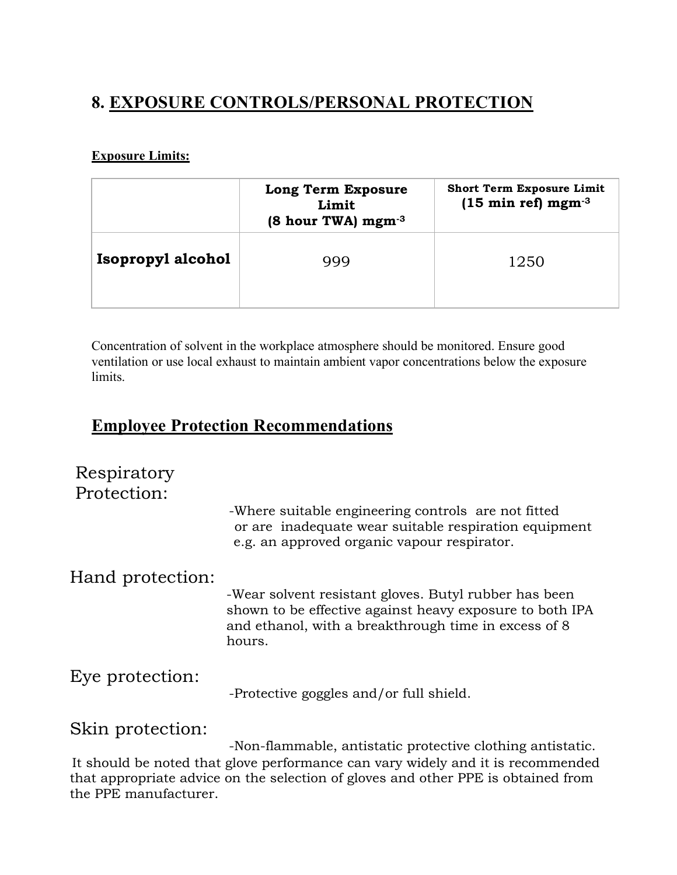## **8. EXPOSURE CONTROLS/PERSONAL PROTECTION**

#### **Exposure Limits:**

|                   | <b>Long Term Exposure</b><br>Limit<br>$(8 \text{ hour TWA}) \text{ mgm}^{-3}$ | <b>Short Term Exposure Limit</b><br>$(15 \text{ min ref})$ mgm <sup>-3</sup> |
|-------------------|-------------------------------------------------------------------------------|------------------------------------------------------------------------------|
| Isopropyl alcohol | 999                                                                           | 1250                                                                         |

Concentration of solvent in the workplace atmosphere should be monitored. Ensure good ventilation or use local exhaust to maintain ambient vapor concentrations below the exposure limits.

#### **Employee Protection Recommendations**

# Respiratory Protection: -Where suitable engineering controls are not fitted or are inadequate wear suitable respiration equipment e.g. an approved organic vapour respirator. Hand protection: -Wear solvent resistant gloves. Butyl rubber has been shown to be effective against heavy exposure to both IPA and ethanol, with a breakthrough time in excess of 8 hours. Eye protection: -Protective goggles and/or full shield. Skin protection:

-Non-flammable, antistatic protective clothing antistatic. It should be noted that glove performance can vary widely and it is recommended that appropriate advice on the selection of gloves and other PPE is obtained from the PPE manufacturer.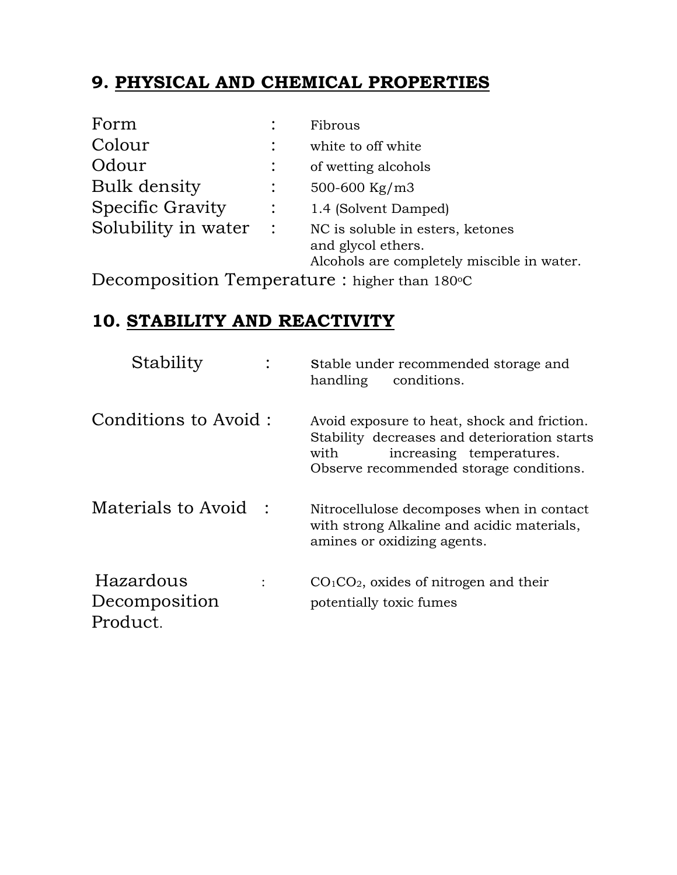# **9. PHYSICAL AND CHEMICAL PROPERTIES**

| Form                |                | Fibrous                                                                                              |
|---------------------|----------------|------------------------------------------------------------------------------------------------------|
| Colour              |                | white to off white                                                                                   |
| Odour               |                | of wetting alcohols                                                                                  |
| Bulk density        |                | 500-600 Kg/m3                                                                                        |
| Specific Gravity    |                | 1.4 (Solvent Damped)                                                                                 |
| Solubility in water | $\mathbb{R}^2$ | NC is soluble in esters, ketones<br>and glycol ethers.<br>Alcohols are completely miscible in water. |

Decomposition Temperature : higher than 180°C

# **10. STABILITY AND REACTIVITY**

| Stability                              | Stable under recommended storage and<br>handling<br>conditions.                                                                                                            |
|----------------------------------------|----------------------------------------------------------------------------------------------------------------------------------------------------------------------------|
| Conditions to Avoid:                   | Avoid exposure to heat, shock and friction.<br>Stability decreases and deterioration starts<br>increasing temperatures.<br>with<br>Observe recommended storage conditions. |
| Materials to Avoid:                    | Nitrocellulose decomposes when in contact<br>with strong Alkaline and acidic materials,<br>amines or oxidizing agents.                                                     |
| Hazardous<br>Decomposition<br>Product. | $CO1CO2$ , oxides of nitrogen and their<br>potentially toxic fumes                                                                                                         |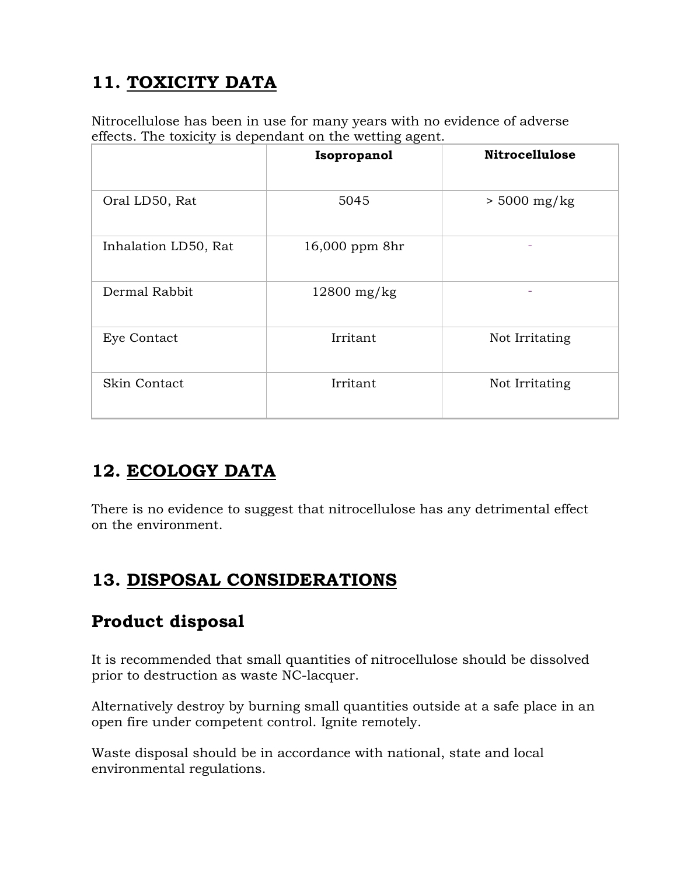# **11. TOXICITY DATA**

Nitrocellulose has been in use for many years with no evidence of adverse effects. The toxicity is dependant on the wetting agent.

|                      | Isopropanol    | <b>Nitrocellulose</b> |
|----------------------|----------------|-----------------------|
| Oral LD50, Rat       | 5045           | $> 5000$ mg/kg        |
| Inhalation LD50, Rat | 16,000 ppm 8hr |                       |
| Dermal Rabbit        | $12800$ mg/kg  |                       |
| Eye Contact          | Irritant       | Not Irritating        |
| Skin Contact         | Irritant       | Not Irritating        |

# **12. ECOLOGY DATA**

There is no evidence to suggest that nitrocellulose has any detrimental effect on the environment.

# **13. DISPOSAL CONSIDERATIONS**

## **Product disposal**

It is recommended that small quantities of nitrocellulose should be dissolved prior to destruction as waste NC-lacquer.

Alternatively destroy by burning small quantities outside at a safe place in an open fire under competent control. Ignite remotely.

Waste disposal should be in accordance with national, state and local environmental regulations.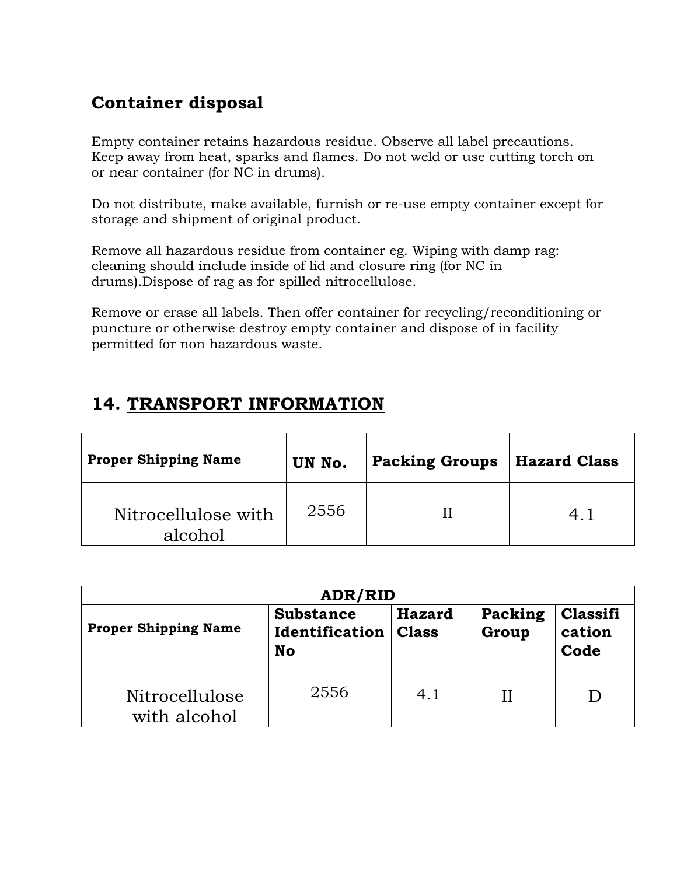# **Container disposal**

Empty container retains hazardous residue. Observe all label precautions. Keep away from heat, sparks and flames. Do not weld or use cutting torch on or near container (for NC in drums).

Do not distribute, make available, furnish or re-use empty container except for storage and shipment of original product.

Remove all hazardous residue from container eg. Wiping with damp rag: cleaning should include inside of lid and closure ring (for NC in drums).Dispose of rag as for spilled nitrocellulose.

Remove or erase all labels. Then offer container for recycling/reconditioning or puncture or otherwise destroy empty container and dispose of in facility permitted for non hazardous waste.

# **14. TRANSPORT INFORMATION**

| <b>Proper Shipping Name</b>    | UN No. | <b>Packing Groups</b> | <b>Hazard Class</b> |
|--------------------------------|--------|-----------------------|---------------------|
| Nitrocellulose with<br>alcohol | 2556   |                       |                     |

| ADR/RID                        |                                                 |                               |                  |                            |  |  |
|--------------------------------|-------------------------------------------------|-------------------------------|------------------|----------------------------|--|--|
| <b>Proper Shipping Name</b>    | <b>Substance</b><br>Identification<br><b>No</b> | <b>Hazard</b><br><b>Class</b> | Packing<br>Group | Classifi<br>cation<br>Code |  |  |
| Nitrocellulose<br>with alcohol | 2556                                            | 4.1                           | Н                |                            |  |  |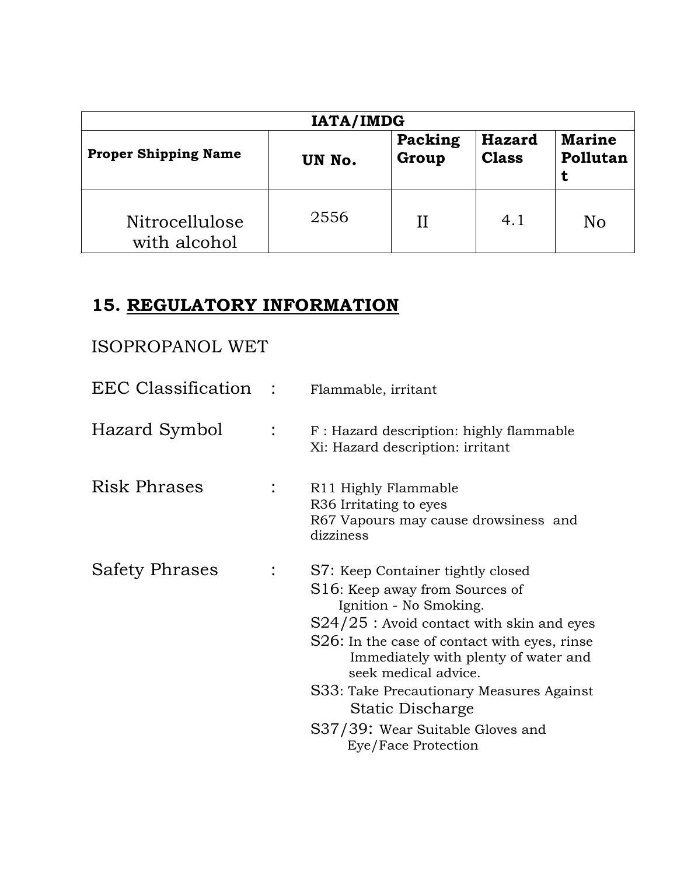| <b>IATA/IMDG</b>                                                                                                             |      |  |     |    |  |  |
|------------------------------------------------------------------------------------------------------------------------------|------|--|-----|----|--|--|
| Packing<br><b>Marine</b><br><b>Hazard</b><br><b>Proper Shipping Name</b><br>Group<br>Pollutan<br><b>Class</b><br>UN No.<br>τ |      |  |     |    |  |  |
| Nitrocellulose<br>with alcohol                                                                                               | 2556 |  | 4.1 | No |  |  |

# **15. REGULATORY INFORMATION**

## ISOPROPANOL WET

| EEC Classification :  | Flammable, irritant                                                                                                                                                                                                                                                                                                                                                                     |
|-----------------------|-----------------------------------------------------------------------------------------------------------------------------------------------------------------------------------------------------------------------------------------------------------------------------------------------------------------------------------------------------------------------------------------|
| Hazard Symbol         | F: Hazard description: highly flammable<br>Xi: Hazard description: irritant                                                                                                                                                                                                                                                                                                             |
| <b>Risk Phrases</b>   | R <sub>11</sub> Highly Flammable<br>R <sub>36</sub> Irritating to eyes<br>R67 Vapours may cause drowsiness and<br>dizziness                                                                                                                                                                                                                                                             |
| <b>Safety Phrases</b> | S7: Keep Container tightly closed<br>S16: Keep away from Sources of<br>Ignition - No Smoking.<br>$S24/25$ : Avoid contact with skin and eyes<br>S26: In the case of contact with eyes, rinse<br>Immediately with plenty of water and<br>seek medical advice.<br>S33: Take Precautionary Measures Against<br>Static Discharge<br>S37/39: Wear Suitable Gloves and<br>Eye/Face Protection |